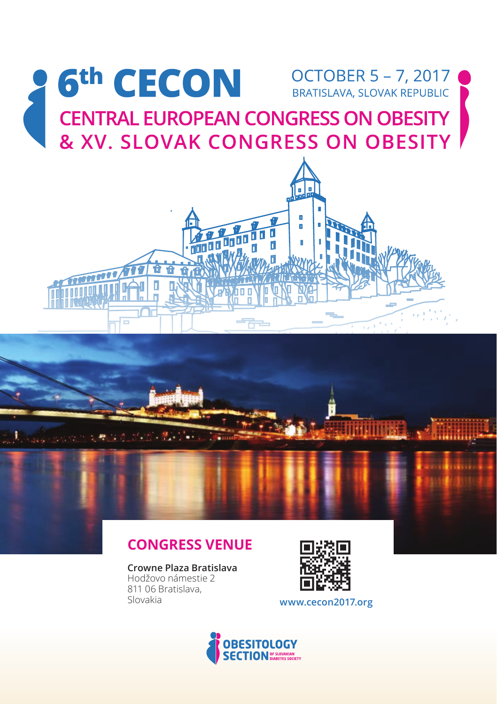

## **Congress Venue**

**Crowne Plaza Bratislava** Hodžovo námestie 2 811 06 Bratislava,<br>Slovakia



**Simplificat** 

www.cecon2017.org